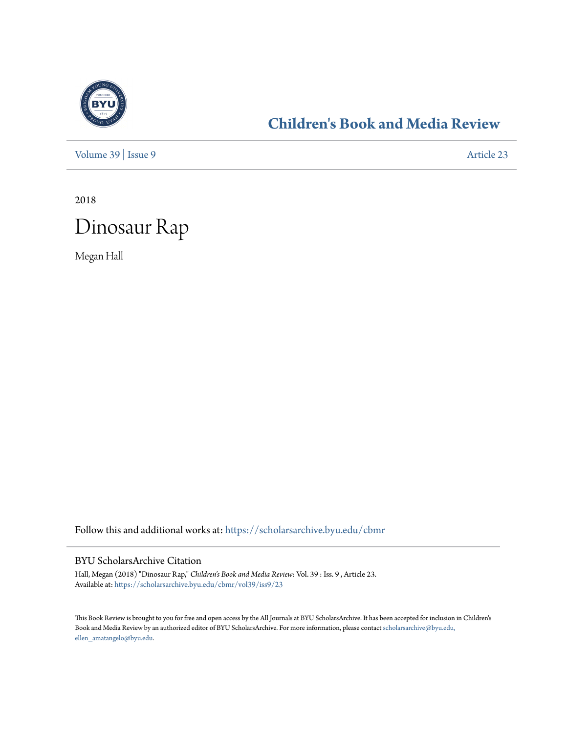

## **[Children's Book and Media Review](https://scholarsarchive.byu.edu/cbmr?utm_source=scholarsarchive.byu.edu%2Fcbmr%2Fvol39%2Fiss9%2F23&utm_medium=PDF&utm_campaign=PDFCoverPages)**

[Volume 39](https://scholarsarchive.byu.edu/cbmr/vol39?utm_source=scholarsarchive.byu.edu%2Fcbmr%2Fvol39%2Fiss9%2F23&utm_medium=PDF&utm_campaign=PDFCoverPages) | [Issue 9](https://scholarsarchive.byu.edu/cbmr/vol39/iss9?utm_source=scholarsarchive.byu.edu%2Fcbmr%2Fvol39%2Fiss9%2F23&utm_medium=PDF&utm_campaign=PDFCoverPages) [Article 23](https://scholarsarchive.byu.edu/cbmr/vol39/iss9/23?utm_source=scholarsarchive.byu.edu%2Fcbmr%2Fvol39%2Fiss9%2F23&utm_medium=PDF&utm_campaign=PDFCoverPages)

2018



Megan Hall

Follow this and additional works at: [https://scholarsarchive.byu.edu/cbmr](https://scholarsarchive.byu.edu/cbmr?utm_source=scholarsarchive.byu.edu%2Fcbmr%2Fvol39%2Fiss9%2F23&utm_medium=PDF&utm_campaign=PDFCoverPages)

#### BYU ScholarsArchive Citation

Hall, Megan (2018) "Dinosaur Rap," *Children's Book and Media Review*: Vol. 39 : Iss. 9 , Article 23. Available at: [https://scholarsarchive.byu.edu/cbmr/vol39/iss9/23](https://scholarsarchive.byu.edu/cbmr/vol39/iss9/23?utm_source=scholarsarchive.byu.edu%2Fcbmr%2Fvol39%2Fiss9%2F23&utm_medium=PDF&utm_campaign=PDFCoverPages)

This Book Review is brought to you for free and open access by the All Journals at BYU ScholarsArchive. It has been accepted for inclusion in Children's Book and Media Review by an authorized editor of BYU ScholarsArchive. For more information, please contact [scholarsarchive@byu.edu,](mailto:scholarsarchive@byu.edu,%20ellen_amatangelo@byu.edu) [ellen\\_amatangelo@byu.edu.](mailto:scholarsarchive@byu.edu,%20ellen_amatangelo@byu.edu)